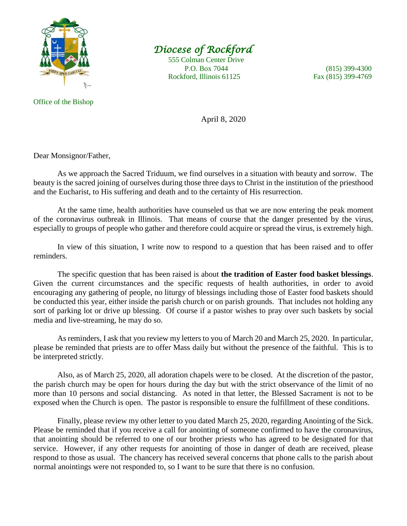

## *Diocese of Rockford*

 555 Colman Center Drive P.O. Box 7044 (815) 399-4300 Rockford, Illinois 61125 Fax (815) 399-4769

## Office of the Bishop

April 8, 2020

Dear Monsignor/Father,

As we approach the Sacred Triduum, we find ourselves in a situation with beauty and sorrow. The beauty is the sacred joining of ourselves during those three days to Christ in the institution of the priesthood and the Eucharist, to His suffering and death and to the certainty of His resurrection.

At the same time, health authorities have counseled us that we are now entering the peak moment of the coronavirus outbreak in Illinois. That means of course that the danger presented by the virus, especially to groups of people who gather and therefore could acquire or spread the virus, is extremely high.

In view of this situation, I write now to respond to a question that has been raised and to offer reminders.

The specific question that has been raised is about **the tradition of Easter food basket blessings**. Given the current circumstances and the specific requests of health authorities, in order to avoid encouraging any gathering of people, no liturgy of blessings including those of Easter food baskets should be conducted this year, either inside the parish church or on parish grounds. That includes not holding any sort of parking lot or drive up blessing. Of course if a pastor wishes to pray over such baskets by social media and live-streaming, he may do so.

As reminders, I ask that you review my letters to you of March 20 and March 25, 2020. In particular, please be reminded that priests are to offer Mass daily but without the presence of the faithful. This is to be interpreted strictly.

Also, as of March 25, 2020, all adoration chapels were to be closed. At the discretion of the pastor, the parish church may be open for hours during the day but with the strict observance of the limit of no more than 10 persons and social distancing. As noted in that letter, the Blessed Sacrament is not to be exposed when the Church is open. The pastor is responsible to ensure the fulfillment of these conditions.

Finally, please review my other letter to you dated March 25, 2020, regarding Anointing of the Sick. Please be reminded that if you receive a call for anointing of someone confirmed to have the coronavirus, that anointing should be referred to one of our brother priests who has agreed to be designated for that service. However, if any other requests for anointing of those in danger of death are received, please respond to those as usual. The chancery has received several concerns that phone calls to the parish about normal anointings were not responded to, so I want to be sure that there is no confusion.